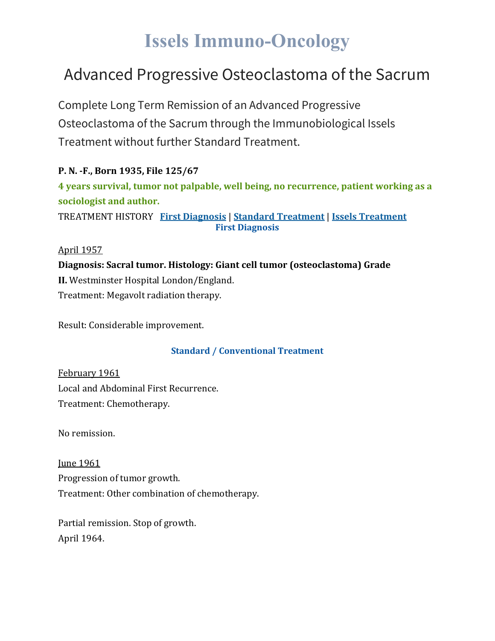# **Issels Immuno-Oncology**

## Advanced Progressive Osteoclastoma of the Sacrum

Complete Long Term Remission of an Advanced Progressive Osteoclastoma of the Sacrum through the Immunobiological Issels Treatment without further Standard Treatment.

**P. N. -F., Born 1935, File 125/67 4 years survival, tumor not palpable, well being, no recurrence, patient working as a sociologist and author.** TREATMENT HISTORY **First [Diagnosis](https://issels.com/cancer-cases/osteoclastoma-of-sacrum-advanced-progressive/#First)** | **Standard [Treatment](https://issels.com/cancer-cases/osteoclastoma-of-sacrum-advanced-progressive/#Standard)** | **Issels [Treatment](https://issels.com/cancer-cases/osteoclastoma-of-sacrum-advanced-progressive/#Issels) First Diagnosis**

April 1957

**Diagnosis: Sacral tumor. Histology: Giant cell tumor (osteoclastoma) Grade II.** Westminster Hospital London/England. Treatment: Megavolt radiation therapy.

Result: Considerable improvement.

#### **Standard / Conventional Treatment**

February 1961 Local and Abdominal First Recurrence. Treatment: Chemotherapy.

No remission.

**Iune 1961** Progression of tumor growth. Treatment: Other combination of chemotherapy.

Partial remission. Stop of growth. April 1964.